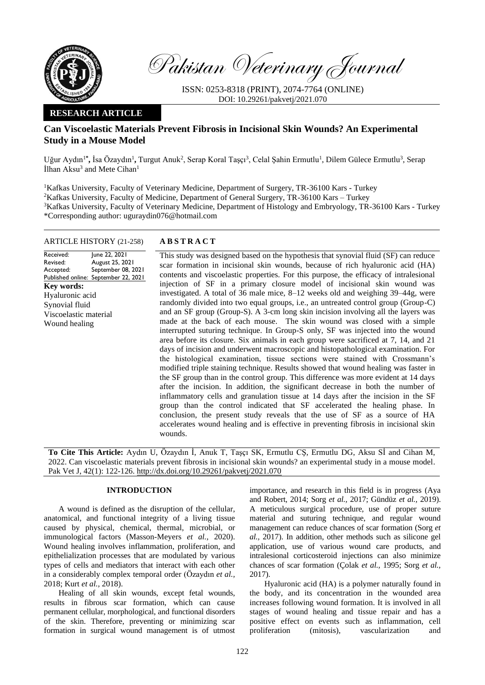

Pakistan Veterinary Journal

ISSN: 0253-8318 (PRINT), 2074-7764 (ONLINE) DOI: 10.29261/pakvetj/2021.070

## **RESEARCH ARTICLE**

# **Can Viscoelastic Materials Prevent Fibrosis in Incisional Skin Wounds? An Experimental Study in a Mouse Model**

Uğur Aydın<sup>ı\*</sup>, İsa Özaydın<sup>1</sup>, Turgut Anuk<sup>2</sup>, Serap Koral Taşçı<sup>3</sup>, Celal Şahin Ermutlu<sup>1</sup>, Dilem Gülece Ermutlu<sup>3</sup>, Serap İlhan Aksu<sup>3</sup> and Mete Cihan<sup>1</sup>

<sup>1</sup>Kafkas University, Faculty of Veterinary Medicine, Department of Surgery, TR-36100 Kars - Turkey <sup>2</sup>Kafkas University, Faculty of Medicine, Department of General Surgery, TR-36100 Kars – Turkey <sup>3</sup>Kafkas University, Faculty of Veterinary Medicine, Department of Histology and Embryology, TR-36100 Kars - Turkey \*Corresponding author: uguraydin076@hotmail.com

## ARTICLE HISTORY (21-258) **A B S T R A C T**

Received: Revised: Accepted: Published online: September 22, 2021 June 22, 2021 August 25, 2021 September 08, 2021 **Key words:**  Hyaluronic acid Synovial fluid Viscoelastic material Wound healing

This study was designed based on the hypothesis that synovial fluid (SF) can reduce scar formation in incisional skin wounds, because of rich hyaluronic acid (HA) contents and viscoelastic properties. For this purpose, the efficacy of intralesional injection of SF in a primary closure model of incisional skin wound was investigated. A total of 36 male mice, 8–12 weeks old and weighing 39–44g, were randomly divided into two equal groups, i.e., an untreated control group (Group-C) and an SF group (Group-S). A 3-cm long skin incision involving all the layers was made at the back of each mouse. The skin wound was closed with a simple interrupted suturing technique. In Group-S only, SF was injected into the wound area before its closure. Six animals in each group were sacrificed at 7, 14, and 21 days of incision and underwent macroscopic and histopathological examination. For the histological examination, tissue sections were stained with Crossmann's modified triple staining technique. Results showed that wound healing was faster in the SF group than in the control group. This difference was more evident at 14 days after the incision. In addition, the significant decrease in both the number of inflammatory cells and granulation tissue at 14 days after the incision in the SF group than the control indicated that SF accelerated the healing phase. In conclusion, the present study reveals that the use of SF as a source of HA accelerates wound healing and is effective in preventing fibrosis in incisional skin wounds.

**To Cite This Article:** Aydın U, Özaydın İ, Anuk T, Taşçı SK, Ermutlu CŞ, Ermutlu DG, Aksu Sİ and Cihan M, 2022. Can viscoelastic materials prevent fibrosis in incisional skin wounds? an experimental study in a mouse model. Pak Vet J, 42(1): 122-126. [http://dx.doi.org/10.29261/pakvetj/2021.070](http://pvj.com.pk/pdf-files/42_1/122-126.pdf)

## **INTRODUCTION**

A wound is defined as the disruption of the cellular, anatomical, and functional integrity of a living tissue caused by physical, chemical, thermal, microbial, or immunological factors (Masson-Meyers *et al.,* 2020). Wound healing involves inflammation, proliferation, and epithelialization processes that are modulated by various types of cells and mediators that interact with each other in a considerably complex temporal order (Özaydın *et al.,* 2018; Kurt *et al.,* 2018).

Healing of all skin wounds, except fetal wounds, results in fibrous scar formation, which can cause permanent cellular, morphological, and functional disorders of the skin. Therefore, preventing or minimizing scar formation in surgical wound management is of utmost importance, and research in this field is in progress (Aya and Robert, 2014; Sorg *et al.,* 2017; Gündüz *et al.,* 2019). A meticulous surgical procedure, use of proper suture material and suturing technique, and regular wound management can reduce chances of scar formation (Sorg *et al.,* 2017). In addition, other methods such as silicone gel application, use of various wound care products, and intralesional corticosteroid injections can also minimize chances of scar formation (Çolak *et al.,* 1995; Sorg *et al.,* 2017).

Hyaluronic acid (HA) is a polymer naturally found in the body, and its concentration in the wounded area increases following wound formation. It is involved in all stages of wound healing and tissue repair and has a positive effect on events such as inflammation, cell proliferation (mitosis), vascularization and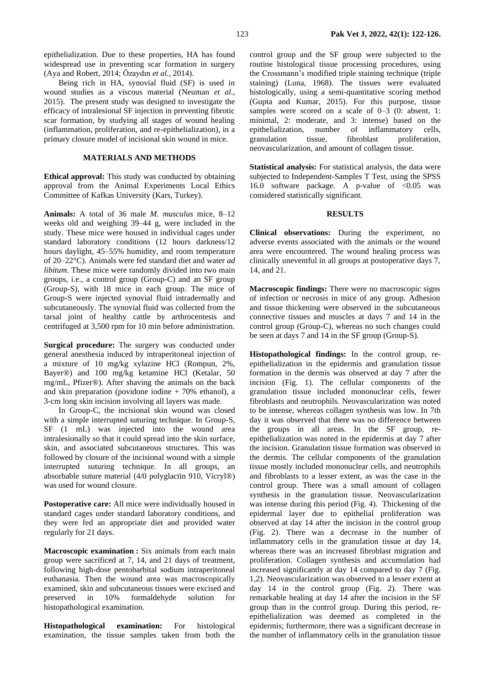epithelialization. Due to these properties, HA has found widespread use in preventing scar formation in surgery (Aya and Robert, 2014; Özaydın *et al.,* 2014).

Being rich in HA, synovial fluid (SF) is used in wound studies as a viscous material (Neuman *et al.,* 2015). The present study was designed to investigate the efficacy of intralesional SF injection in preventing fibrotic scar formation, by studying all stages of wound healing (inflammation, proliferation, and re-epithelialization), in a primary closure model of incisional skin wound in mice.

## **MATERIALS AND METHODS**

**Ethical approval:** This study was conducted by obtaining approval from the Animal Experiments Local Ethics Committee of Kafkas University (Kars, Turkey).

**Animals:** A total of 36 male *M. musculus* mice, 8–12 weeks old and weighing 39–44 g, were included in the study. These mice were housed in individual cages under standard laboratory conditions (12 hours darkness/12 hours daylight, 45–55% humidity, and room temperature of 20–22°C). Animals were fed standard diet and water *ad libitum*. These mice were randomly divided into two main groups, i.e., a control group (Group-C) and an SF group (Group-S), with 18 mice in each group. The mice of Group-S were injected synovial fluid intradermally and subcutaneously. The synovial fluid was collected from the tarsal joint of healthy cattle by arthrocentesis and centrifuged at 3,500 rpm for 10 min before administration.

**Surgical procedure:** The surgery was conducted under general anesthesia induced by intraperitoneal injection of a mixture of 10 mg/kg xylazine HCl (Rompun, 2%, Bayer®) and 100 mg/kg ketamine HCl (Ketalar, 50 mg/mL, Pfizer®). After shaving the animals on the back and skin preparation (povidone iodine  $+70\%$  ethanol), a 3-cm long skin incision involving all layers was made.

In Group-C, the incisional skin wound was closed with a simple interrupted suturing technique. In Group-S, SF (1 mL) was injected into the wound area intralesionally so that it could spread into the skin surface, skin, and associated subcutaneous structures. This was followed by closure of the incisional wound with a simple interrupted suturing technique. In all groups, an absorbable suture material (4/0 polyglactin 910, Vicryl®) was used for wound closure.

**Postoperative care:** All mice were individually housed in standard cages under standard laboratory conditions, and they were fed an appropriate diet and provided water regularly for 21 days.

**Macroscopic examination :** Six animals from each main group were sacrificed at 7, 14, and 21 days of treatment, following high-dose pentobarbital sodium intraperitoneal euthanasia. Then the wound area was macroscopically examined, skin and subcutaneous tissues were excised and preserved in 10% formaldehyde solution for histopathological examination.

**Histopathological examination:** For histological examination, the tissue samples taken from both the

control group and the SF group were subjected to the routine histological tissue processing procedures, using the Crossmann's modified triple staining technique (triple staining) (Luna, 1968). The tissues were evaluated histologically, using a semi-quantitative scoring method (Gupta and Kumar, 2015). For this purpose, tissue samples were scored on a scale of  $0-3$  (0: absent, 1: minimal, 2: moderate, and 3: intense) based on the epithelialization, number of inflammatory cells, granulation tissue, fibroblast proliferation, neovascularization, and amount of collagen tissue.

**Statistical analysis:** For statistical analysis, the data were subjected to Independent-Samples T Test, using the SPSS 16.0 software package. A p-value of <0.05 was considered statistically significant.

### **RESULTS**

**Clinical observations:** During the experiment, no adverse events associated with the animals or the wound area were encountered. The wound healing process was clinically uneventful in all groups at postoperative days 7, 14, and 21.

**Macroscopic findings:** There were no macroscopic signs of infection or necrosis in mice of any group. Adhesion and tissue thickening were observed in the subcutaneous connective tissues and muscles at days 7 and 14 in the control group (Group-C), whereas no such changes could be seen at days 7 and 14 in the SF group (Group-S).

**Histopathological findings:** In the control group, reepithelialization in the epidermis and granulation tissue formation in the dermis was observed at day 7 after the incision (Fig. 1). The cellular components of the granulation tissue included mononuclear cells, fewer fibroblasts and neutrophils. Neovascularization was noted to be intense, whereas collagen synthesis was low. In 7th day it was observed that there was no difference between the groups in all areas. In the SF group, reepithelialization was noted in the epidermis at day 7 after the incision. Granulation tissue formation was observed in the dermis. The cellular components of the granulation tissue mostly included mononuclear cells, and neutrophils and fibroblasts to a lesser extent, as was the case in the control group. There was a small amount of collagen synthesis in the granulation tissue. Neovascularization was intense during this period (Fig. 4). Thickening of the epidermal layer due to epithelial proliferation was observed at day 14 after the incision in the control group (Fig. 2). There was a decrease in the number of inflammatory cells in the granulation tissue at day 14, whereas there was an increased fibroblast migration and proliferation. Collagen synthesis and accumulation had increased significantly at day 14 compared to day 7 (Fig. 1,2). Neovascularization was observed to a lesser extent at day 14 in the control group (Fig. 2)*.* There was remarkable healing at day 14 after the incision in the SF group than in the control group. During this period, reepithelialization was deemed as completed in the epidermis; furthermore, there was a significant decrease in the number of inflammatory cells in the granulation tissue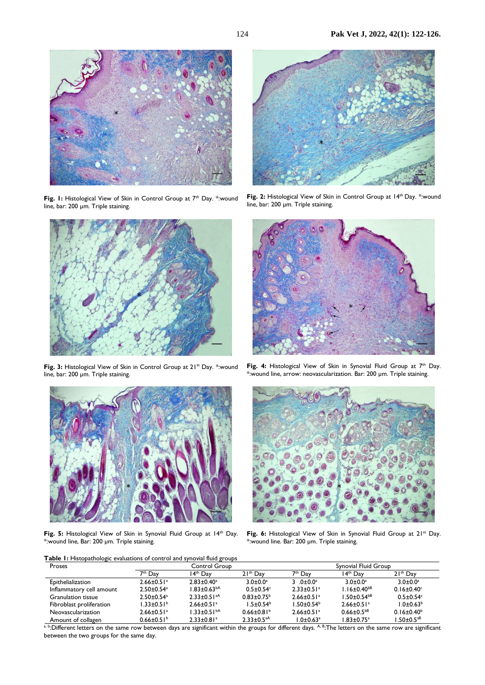

Fig. 1: Histological View of Skin in Control Group at 7<sup>th</sup> Day. \*: wound line, bar: 200 µm. Triple staining.



Fig. 3: Histological View of Skin in Control Group at 21<sup>st</sup> Day. \*: wound line, bar: 200 µm. Triple staining.



Fig. 5: Histological View of Skin in Synovial Fluid Group at 14<sup>th</sup> Day. \*:wound line, Bar: 200 µm. Triple staining.



Fig. 2: Histological View of Skin in Control Group at 14<sup>th</sup> Day. \*:wound line, bar: 200 µm. Triple staining.



Fig. 4: Histological View of Skin in Synovial Fluid Group at 7<sup>th</sup> Day. \*:wound line, arrow: neovascularization. Bar: 200 µm. Triple staining.



Fig. 6: Histological View of Skin in Synovial Fluid Group at 21<sup>st</sup> Day. \*:wound line. Bar: 200 µm. Triple staining.

| Table 1: Histopathologic evaluations of control and synovial fluid groups |  |  |
|---------------------------------------------------------------------------|--|--|
|                                                                           |  |  |

| Proses                    | Control Group                |                               |                              | Synovial Fluid Group         |                              |                              |
|---------------------------|------------------------------|-------------------------------|------------------------------|------------------------------|------------------------------|------------------------------|
|                           | 7 <sup>th</sup> Day          | 14 <sup>th</sup> Day          | $21th$ Day                   | 7 <sup>th</sup> Day          | 14 <sup>th</sup> Day         | $21th$ Day                   |
| <b>Epithelialization</b>  | $2.66 \pm 0.51$ <sup>a</sup> | $2.83 \pm 0.40$ <sup>a</sup>  | $3.0 \pm 0.0^a$              | 3 .0 $\pm$ 0.0 <sup>a</sup>  | $3.0 + 0.0^a$                | $3.0 \pm 0.0^a$              |
| Inflammatory cell amount  | $2.50 \pm 0.54$ <sup>a</sup> | $1.83 \pm 0.63^{bA}$          | $0.5 \pm 0.54$ <sup>c</sup>  | $2.33 + 0.51a$               | $1.16 \pm 0.40^{bB}$         | $0.16 \pm 0.40$ <sup>c</sup> |
| <b>Granulation tissue</b> | $2.50 \pm 0.54$ <sup>a</sup> | $2.33 \pm 0.51$ <sup>aA</sup> | $0.83 \pm 0.75^{\circ}$      | $2.66 \pm 0.51$ <sup>a</sup> | $1.50\pm0.54^{bB}$           | $0.5 + 0.54$ <sup>c</sup>    |
| Fibroblast proliferation  | $1.33 \pm 0.51^{\circ}$      | $2.66 \pm 0.51$ <sup>a</sup>  | $1.5 + 0.54^b$               | $1.50 + 0.54^b$              | $2.66 \pm 0.51$ <sup>a</sup> | $1.0 \pm 0.63^b$             |
| Neovascularization        | $2.66 \pm 0.51$ <sup>a</sup> | $1.33 \pm 0.51^{bA}$          | $0.66 \pm 0.81$ <sup>b</sup> | $2.66 \pm 0.51$ <sup>a</sup> | $0.66 \pm 0.5^{bB}$          | $0.16 \pm 0.40^b$            |
| Amount of collagen        | $0.66 \pm 0.51$ <sup>b</sup> | $2.33 \pm 0.81$ <sup>a</sup>  | $2.33 \pm 0.5$ <sup>aA</sup> | $1.0 \pm 0.63$ <sup>a</sup>  | $1.83 \pm 0.75$ <sup>a</sup> | $1.50 \pm 0.5$ <sup>aB</sup> |

a, b:Different letters on the same row between days are significant within the groups for different days. A, B:The letters on the same row are significant between the two groups for the same day.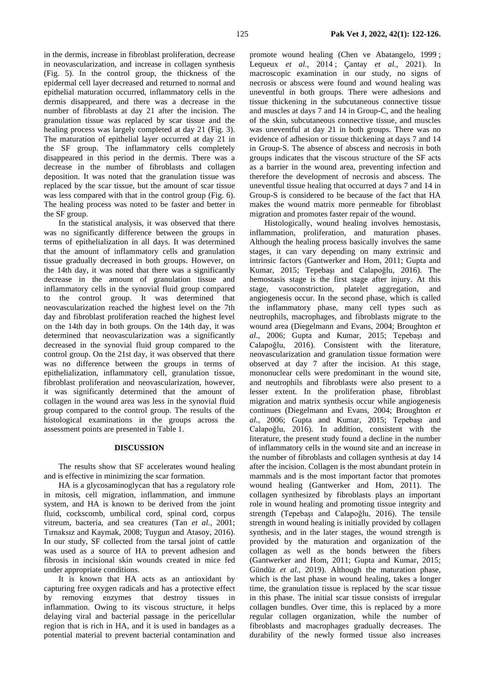in the dermis, increase in fibroblast proliferation, decrease in neovascularization, and increase in collagen synthesis (Fig. 5). In the control group, the thickness of the epidermal cell layer decreased and returned to normal and epithelial maturation occurred, inflammatory cells in the dermis disappeared, and there was a decrease in the number of fibroblasts at day 21 after the incision. The granulation tissue was replaced by scar tissue and the healing process was largely completed at day 21 (Fig. 3). The maturation of epithelial layer occurred at day 21 in the SF group. The inflammatory cells completely disappeared in this period in the dermis. There was a decrease in the number of fibroblasts and collagen deposition. It was noted that the granulation tissue was replaced by the scar tissue, but the amount of scar tissue was less compared with that in the control group (Fig. 6). The healing process was noted to be faster and better in the SF group.

In the statistical analysis, it was observed that there was no significantly difference between the groups in terms of epithelialization in all days. It was determined that the amount of inflammatory cells and granulation tissue gradually decreased in both groups. However, on the 14th day, it was noted that there was a significantly decrease in the amount of granulation tissue and inflammatory cells in the synovial fluid group compared to the control group. It was determined that neovascularization reached the highest level on the 7th day and fibroblast proliferation reached the highest level on the 14th day in both groups. On the 14th day, it was determined that neovascularization was a significantly decreased in the synovial fluid group compared to the control group. On the 21st day, it was observed that there was no difference between the groups in terms of epithelialization, inflammatory cell, granulation tissue, fibroblast proliferation and neovascularization, however, it was significantly determined that the amount of collagen in the wound area was less in the synovial fluid group compared to the control group. The results of the histological examinations in the groups across the assessment points are presented in Table 1.

## **DISCUSSION**

The results show that SF accelerates wound healing and is effective in minimizing the scar formation.

HA is a glycosaminoglycan that has a regulatory role in mitosis, cell migration, inflammation, and immune system, and HA is known to be derived from the joint fluid, cockscomb, umbilical cord, spinal cord, corpus vitreum, bacteria, and sea creatures (Tan *et al.,* 2001; Tırnaksız and Kaymak, 2008; Tuygun and Atasoy, 2016). In our study, SF collected from the tarsal joint of cattle was used as a source of HA to prevent adhesion and fibrosis in incisional skin wounds created in mice fed under appropriate conditions.

It is known that HA acts as an antioxidant by capturing free oxygen radicals and has a protective effect by removing enzymes that destroy tissues in inflammation. Owing to its viscous structure, it helps delaying viral and bacterial passage in the pericellular region that is rich in HA, and it is used in bandages as a potential material to prevent bacterial contamination and

promote wound healing (Chen ve Abatangelo, 1999 ; Lequeux *et al.,* 2014 ; Çantay *et al.,* 2021). In macroscopic examination in our study, no signs of necrosis or abscess were found and wound healing was uneventful in both groups. There were adhesions and tissue thickening in the subcutaneous connective tissue and muscles at days 7 and 14 in Group-C, and the healing of the skin, subcutaneous connective tissue, and muscles was uneventful at day 21 in both groups. There was no evidence of adhesion or tissue thickening at days 7 and 14 in Group-S. The absence of abscess and necrosis in both groups indicates that the viscous structure of the SF acts as a barrier in the wound area, preventing infection and therefore the development of necrosis and abscess. The uneventful tissue healing that occurred at days 7 and 14 in Group-S is considered to be because of the fact that HA makes the wound matrix more permeable for fibroblast migration and promotes faster repair of the wound.

Histologically, wound healing involves hemostasis, inflammation, proliferation, and maturation phases. Although the healing process basically involves the same stages, it can vary depending on many extrinsic and intrinsic factors (Gantwerker and Hom, 2011; Gupta and Kumar, 2015; Tepebaşı and Calapoğlu, 2016). The hemostasis stage is the first stage after injury. At this stage, vasoconstriction, platelet aggregation, and angiogenesis occur. In the second phase, which is called the inflammatory phase, many cell types such as neutrophils, macrophages, and fibroblasts migrate to the wound area (Diegelmann and Evans, 2004; Broughton *et al.,* 2006; Gupta and Kumar, 2015; Tepebaşı and Calapoğlu, 2016). Consistent with the literature, neovascularization and granulation tissue formation were observed at day 7 after the incision. At this stage, mononuclear cells were predominant in the wound site, and neutrophils and fibroblasts were also present to a lesser extent. In the proliferation phase, fibroblast migration and matrix synthesis occur while angiogenesis continues (Diegelmann and Evans, 2004; Broughton *et al.,* 2006; Gupta and Kumar, 2015; Tepebaşı and Calapoğlu, 2016). In addition, consistent with the literature, the present study found a decline in the number of inflammatory cells in the wound site and an increase in the number of fibroblasts and collagen synthesis at day 14 after the incision. Collagen is the most abundant protein in mammals and is the most important factor that promotes wound healing (Gantwerker and Hom, 2011). The collagen synthesized by fibroblasts plays an important role in wound healing and promoting tissue integrity and strength (Tepebaşı and Calapoğlu, 2016). The tensile strength in wound healing is initially provided by collagen synthesis, and in the later stages, the wound strength is provided by the maturation and organization of the collagen as well as the bonds between the fibers (Gantwerker and Hom, 2011; Gupta and Kumar, 2015; Gündüz *et al.,* 2019). Although the maturation phase, which is the last phase in wound healing, takes a longer time, the granulation tissue is replaced by the scar tissue in this phase. The initial scar tissue consists of irregular collagen bundles. Over time, this is replaced by a more regular collagen organization, while the number of fibroblasts and macrophages gradually decreases. The durability of the newly formed tissue also increases